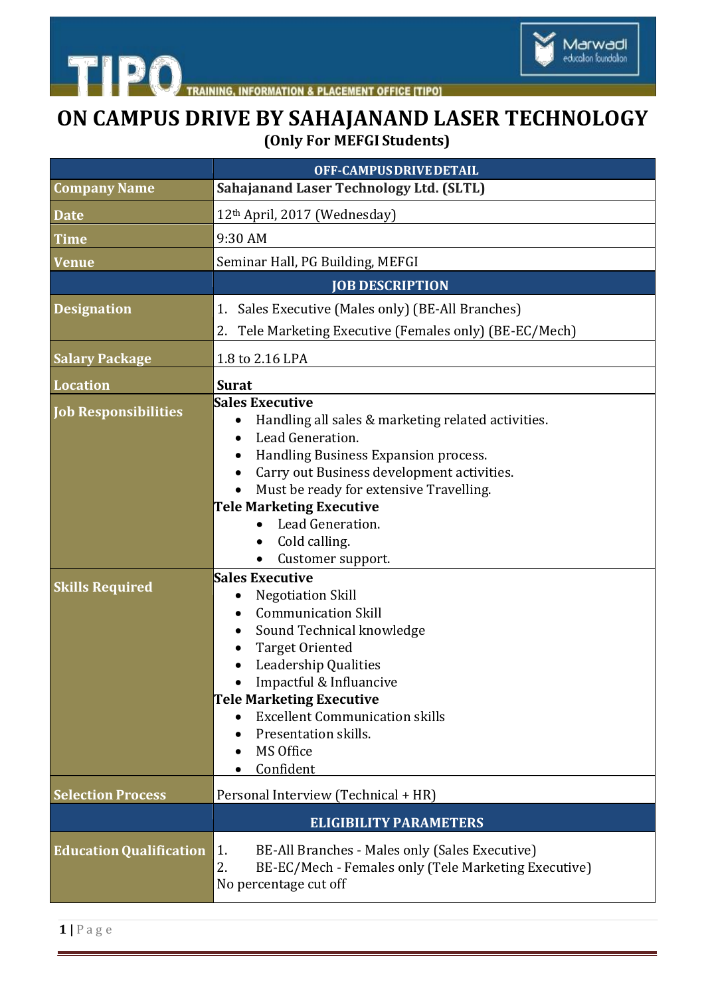

TRAINING, INFORMATION & PLACEMENT OFFICE [TIPO]

## **ON CAMPUS DRIVE BY SAHAJANAND LASER TECHNOLOGY (Only For MEFGI Students)**

|                                | OFF-CAMPUS DRIVE DETAIL                                                                                                                                                                                                                                                                                                             |
|--------------------------------|-------------------------------------------------------------------------------------------------------------------------------------------------------------------------------------------------------------------------------------------------------------------------------------------------------------------------------------|
| <b>Company Name</b>            | <b>Sahajanand Laser Technology Ltd. (SLTL)</b>                                                                                                                                                                                                                                                                                      |
| <b>Date</b>                    | 12th April, 2017 (Wednesday)                                                                                                                                                                                                                                                                                                        |
| <b>Time</b>                    | 9:30 AM                                                                                                                                                                                                                                                                                                                             |
| <b>Venue</b>                   | Seminar Hall, PG Building, MEFGI                                                                                                                                                                                                                                                                                                    |
|                                | <b>JOB DESCRIPTION</b>                                                                                                                                                                                                                                                                                                              |
| <b>Designation</b>             | 1. Sales Executive (Males only) (BE-All Branches)                                                                                                                                                                                                                                                                                   |
|                                | Tele Marketing Executive (Females only) (BE-EC/Mech)<br>2.                                                                                                                                                                                                                                                                          |
| <b>Salary Package</b>          | 1.8 to 2.16 LPA                                                                                                                                                                                                                                                                                                                     |
| <b>Location</b>                | <b>Surat</b>                                                                                                                                                                                                                                                                                                                        |
| <b>Job Responsibilities</b>    | <b>Sales Executive</b><br>Handling all sales & marketing related activities.<br>Lead Generation.<br>$\bullet$<br>Handling Business Expansion process.<br>Carry out Business development activities.                                                                                                                                 |
|                                | Must be ready for extensive Travelling.<br><b>Tele Marketing Executive</b><br>Lead Generation.<br>$\bullet$<br>Cold calling.<br>$\bullet$<br>Customer support.<br>$\bullet$                                                                                                                                                         |
| <b>Skills Required</b>         | <b>Sales Executive</b><br><b>Negotiation Skill</b><br>$\bullet$<br><b>Communication Skill</b><br>Sound Technical knowledge<br>٠<br><b>Target Oriented</b><br>Leadership Qualities<br>Impactful & Influancive<br>Tele Marketing Executive<br><b>Excellent Communication skills</b><br>Presentation skills.<br>MS Office<br>Confident |
| <b>Selection Process</b>       | Personal Interview (Technical + HR)                                                                                                                                                                                                                                                                                                 |
|                                | <b>ELIGIBILITY PARAMETERS</b>                                                                                                                                                                                                                                                                                                       |
| <b>Education Qualification</b> | BE-All Branches - Males only (Sales Executive)<br>1.<br>2.<br>BE-EC/Mech - Females only (Tele Marketing Executive)<br>No percentage cut off                                                                                                                                                                                         |